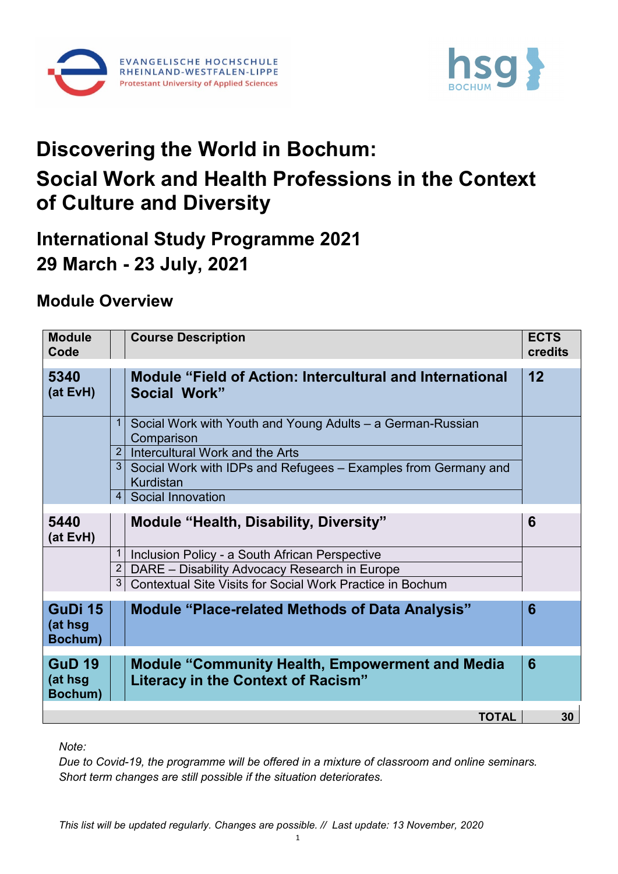



## **Discovering the World in Bochum: Social Work and Health Professions in the Context of Culture and Diversity**

## **International Study Programme 2021 29 March - 23 July, 2021**

## **Module Overview**

| <b>Module</b><br>Code               |                | <b>Course Description</b>                                                                           | <b>ECTS</b><br>credits |
|-------------------------------------|----------------|-----------------------------------------------------------------------------------------------------|------------------------|
| 5340<br>(at EvH)                    |                | <b>Module "Field of Action: Intercultural and International</b><br>Social Work"                     | 12                     |
|                                     | 1              | Social Work with Youth and Young Adults - a German-Russian<br>Comparison                            |                        |
|                                     |                | 2 Intercultural Work and the Arts                                                                   |                        |
|                                     |                | 3 Social Work with IDPs and Refugees - Examples from Germany and<br>Kurdistan                       |                        |
|                                     |                | 4 Social Innovation                                                                                 |                        |
| 5440<br>(at EvH)                    |                | <b>Module "Health, Disability, Diversity"</b>                                                       | 6                      |
|                                     | 1              | Inclusion Policy - a South African Perspective                                                      |                        |
|                                     | $\overline{2}$ | DARE - Disability Advocacy Research in Europe                                                       |                        |
|                                     | 3 <sup>1</sup> | Contextual Site Visits for Social Work Practice in Bochum                                           |                        |
| GuDi 15<br>(at hsg<br>Bochum)       |                | <b>Module "Place-related Methods of Data Analysis"</b>                                              | 6                      |
| <b>GuD 19</b><br>(at hsg<br>Bochum) |                | <b>Module "Community Health, Empowerment and Media</b><br><b>Literacy in the Context of Racism"</b> | 6                      |
|                                     |                | <b>TOTAL</b>                                                                                        | 30                     |

*Note:* 

*Due to Covid-19, the programme will be offered in a mixture of classroom and online seminars. Short term changes are still possible if the situation deteriorates.*

*This list will be updated regularly. Changes are possible. // Last update: 13 November, 2020*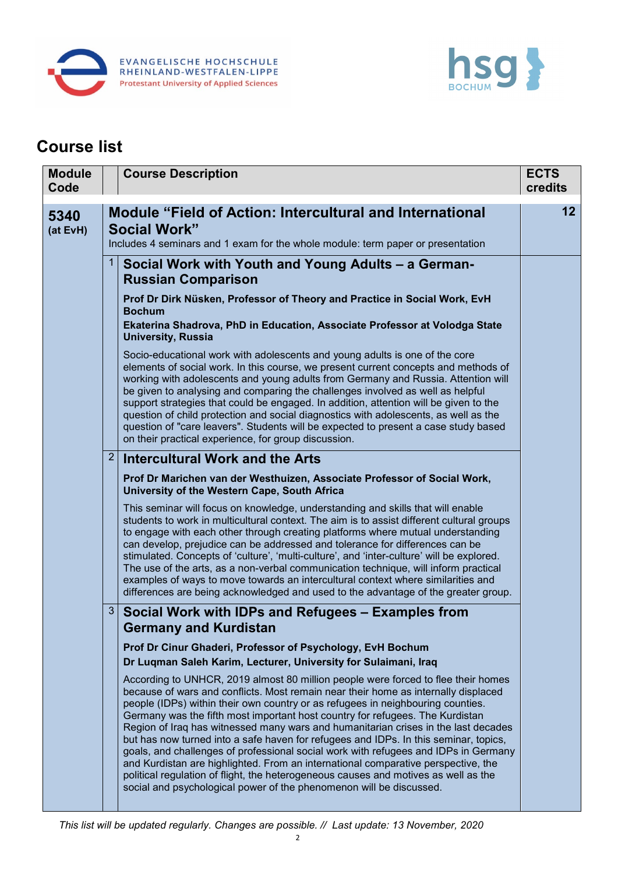



## **Course list**

|  | <b>Module</b><br>Code |                | <b>Course Description</b>                                                                                                                                                                                                                                                                                                                                                                                                                                                                                                                                                                                                                                                                                                                                                      | <b>ECTS</b><br>credits |
|--|-----------------------|----------------|--------------------------------------------------------------------------------------------------------------------------------------------------------------------------------------------------------------------------------------------------------------------------------------------------------------------------------------------------------------------------------------------------------------------------------------------------------------------------------------------------------------------------------------------------------------------------------------------------------------------------------------------------------------------------------------------------------------------------------------------------------------------------------|------------------------|
|  | 5340<br>(at EvH)      |                | <b>Module "Field of Action: Intercultural and International</b><br><b>Social Work"</b><br>Includes 4 seminars and 1 exam for the whole module: term paper or presentation                                                                                                                                                                                                                                                                                                                                                                                                                                                                                                                                                                                                      | 12                     |
|  |                       | 1 <sup>1</sup> | Social Work with Youth and Young Adults - a German-<br><b>Russian Comparison</b>                                                                                                                                                                                                                                                                                                                                                                                                                                                                                                                                                                                                                                                                                               |                        |
|  |                       |                | Prof Dr Dirk Nüsken, Professor of Theory and Practice in Social Work, EvH<br><b>Bochum</b><br>Ekaterina Shadrova, PhD in Education, Associate Professor at Volodga State<br><b>University, Russia</b>                                                                                                                                                                                                                                                                                                                                                                                                                                                                                                                                                                          |                        |
|  |                       |                | Socio-educational work with adolescents and young adults is one of the core<br>elements of social work. In this course, we present current concepts and methods of<br>working with adolescents and young adults from Germany and Russia. Attention will<br>be given to analysing and comparing the challenges involved as well as helpful<br>support strategies that could be engaged. In addition, attention will be given to the<br>question of child protection and social diagnostics with adolescents, as well as the<br>question of "care leavers". Students will be expected to present a case study based<br>on their practical experience, for group discussion.                                                                                                      |                        |
|  |                       | 2 <sup>1</sup> | <b>Intercultural Work and the Arts</b>                                                                                                                                                                                                                                                                                                                                                                                                                                                                                                                                                                                                                                                                                                                                         |                        |
|  |                       |                | Prof Dr Marichen van der Westhuizen, Associate Professor of Social Work,<br>University of the Western Cape, South Africa<br>This seminar will focus on knowledge, understanding and skills that will enable<br>students to work in multicultural context. The aim is to assist different cultural groups                                                                                                                                                                                                                                                                                                                                                                                                                                                                       |                        |
|  |                       |                | to engage with each other through creating platforms where mutual understanding<br>can develop, prejudice can be addressed and tolerance for differences can be<br>stimulated. Concepts of 'culture', 'multi-culture', and 'inter-culture' will be explored.<br>The use of the arts, as a non-verbal communication technique, will inform practical<br>examples of ways to move towards an intercultural context where similarities and<br>differences are being acknowledged and used to the advantage of the greater group.                                                                                                                                                                                                                                                  |                        |
|  |                       | 3 <sup>1</sup> | Social Work with IDPs and Refugees - Examples from<br><b>Germany and Kurdistan</b>                                                                                                                                                                                                                                                                                                                                                                                                                                                                                                                                                                                                                                                                                             |                        |
|  |                       |                | Prof Dr Cinur Ghaderi, Professor of Psychology, EvH Bochum                                                                                                                                                                                                                                                                                                                                                                                                                                                                                                                                                                                                                                                                                                                     |                        |
|  |                       |                | Dr Luqman Saleh Karim, Lecturer, University for Sulaimani, Iraq<br>According to UNHCR, 2019 almost 80 million people were forced to flee their homes                                                                                                                                                                                                                                                                                                                                                                                                                                                                                                                                                                                                                           |                        |
|  |                       |                | because of wars and conflicts. Most remain near their home as internally displaced<br>people (IDPs) within their own country or as refugees in neighbouring counties.<br>Germany was the fifth most important host country for refugees. The Kurdistan<br>Region of Iraq has witnessed many wars and humanitarian crises in the last decades<br>but has now turned into a safe haven for refugees and IDPs. In this seminar, topics,<br>goals, and challenges of professional social work with refugees and IDPs in Germany<br>and Kurdistan are highlighted. From an international comparative perspective, the<br>political regulation of flight, the heterogeneous causes and motives as well as the<br>social and psychological power of the phenomenon will be discussed. |                        |
|  |                       |                |                                                                                                                                                                                                                                                                                                                                                                                                                                                                                                                                                                                                                                                                                                                                                                                |                        |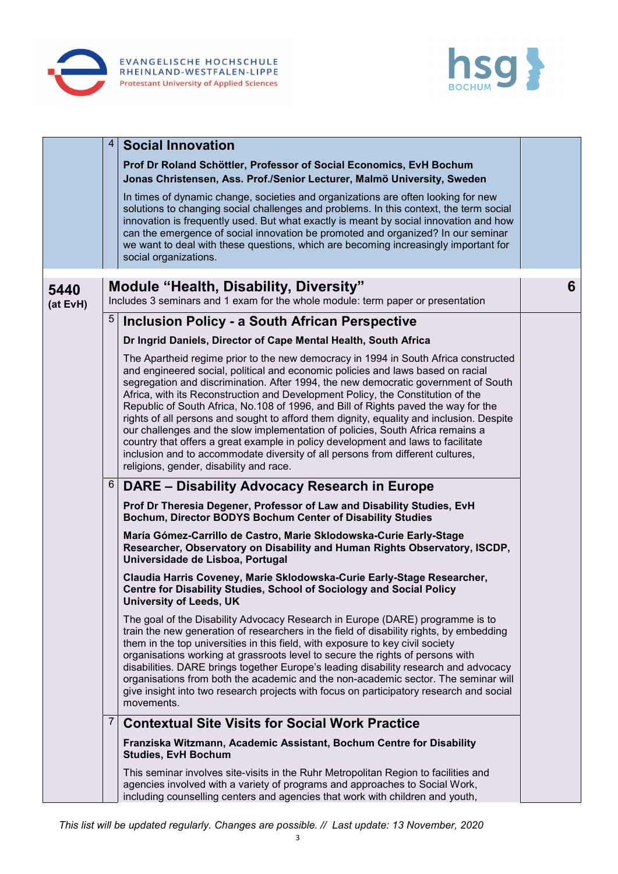



|                  | $\overline{4}$ | <b>Social Innovation</b>                                                                                                                                                                                                                                                                                                                                                                                                                                                                                                                                                                                                                                                                                                                                                                                                             |   |
|------------------|----------------|--------------------------------------------------------------------------------------------------------------------------------------------------------------------------------------------------------------------------------------------------------------------------------------------------------------------------------------------------------------------------------------------------------------------------------------------------------------------------------------------------------------------------------------------------------------------------------------------------------------------------------------------------------------------------------------------------------------------------------------------------------------------------------------------------------------------------------------|---|
|                  |                | Prof Dr Roland Schöttler, Professor of Social Economics, EvH Bochum<br>Jonas Christensen, Ass. Prof./Senior Lecturer, Malmö University, Sweden                                                                                                                                                                                                                                                                                                                                                                                                                                                                                                                                                                                                                                                                                       |   |
|                  |                | In times of dynamic change, societies and organizations are often looking for new<br>solutions to changing social challenges and problems. In this context, the term social<br>innovation is frequently used. But what exactly is meant by social innovation and how<br>can the emergence of social innovation be promoted and organized? In our seminar<br>we want to deal with these questions, which are becoming increasingly important for<br>social organizations.                                                                                                                                                                                                                                                                                                                                                             |   |
|                  |                | <b>Module "Health, Disability, Diversity"</b>                                                                                                                                                                                                                                                                                                                                                                                                                                                                                                                                                                                                                                                                                                                                                                                        | 6 |
| 5440<br>(at EvH) |                | Includes 3 seminars and 1 exam for the whole module: term paper or presentation                                                                                                                                                                                                                                                                                                                                                                                                                                                                                                                                                                                                                                                                                                                                                      |   |
|                  | 5              | <b>Inclusion Policy - a South African Perspective</b>                                                                                                                                                                                                                                                                                                                                                                                                                                                                                                                                                                                                                                                                                                                                                                                |   |
|                  |                | Dr Ingrid Daniels, Director of Cape Mental Health, South Africa                                                                                                                                                                                                                                                                                                                                                                                                                                                                                                                                                                                                                                                                                                                                                                      |   |
|                  |                | The Apartheid regime prior to the new democracy in 1994 in South Africa constructed<br>and engineered social, political and economic policies and laws based on racial<br>segregation and discrimination. After 1994, the new democratic government of South<br>Africa, with its Reconstruction and Development Policy, the Constitution of the<br>Republic of South Africa, No.108 of 1996, and Bill of Rights paved the way for the<br>rights of all persons and sought to afford them dignity, equality and inclusion. Despite<br>our challenges and the slow implementation of policies, South Africa remains a<br>country that offers a great example in policy development and laws to facilitate<br>inclusion and to accommodate diversity of all persons from different cultures,<br>religions, gender, disability and race. |   |
|                  | 6              | DARE – Disability Advocacy Research in Europe                                                                                                                                                                                                                                                                                                                                                                                                                                                                                                                                                                                                                                                                                                                                                                                        |   |
|                  |                | Prof Dr Theresia Degener, Professor of Law and Disability Studies, EvH<br>Bochum, Director BODYS Bochum Center of Disability Studies                                                                                                                                                                                                                                                                                                                                                                                                                                                                                                                                                                                                                                                                                                 |   |
|                  |                | María Gómez-Carrillo de Castro, Marie Sklodowska-Curie Early-Stage<br>Researcher, Observatory on Disability and Human Rights Observatory, ISCDP,<br>Universidade de Lisboa, Portugal                                                                                                                                                                                                                                                                                                                                                                                                                                                                                                                                                                                                                                                 |   |
|                  |                | Claudia Harris Coveney, Marie Sklodowska-Curie Early-Stage Researcher,<br>Centre for Disability Studies, School of Sociology and Social Policy<br><b>University of Leeds, UK</b>                                                                                                                                                                                                                                                                                                                                                                                                                                                                                                                                                                                                                                                     |   |
|                  |                | The goal of the Disability Advocacy Research in Europe (DARE) programme is to<br>train the new generation of researchers in the field of disability rights, by embedding<br>them in the top universities in this field, with exposure to key civil society<br>organisations working at grassroots level to secure the rights of persons with<br>disabilities. DARE brings together Europe's leading disability research and advocacy<br>organisations from both the academic and the non-academic sector. The seminar will<br>give insight into two research projects with focus on participatory research and social<br>movements.                                                                                                                                                                                                  |   |
|                  | 7              | <b>Contextual Site Visits for Social Work Practice</b>                                                                                                                                                                                                                                                                                                                                                                                                                                                                                                                                                                                                                                                                                                                                                                               |   |
|                  |                | Franziska Witzmann, Academic Assistant, Bochum Centre for Disability<br><b>Studies, EvH Bochum</b>                                                                                                                                                                                                                                                                                                                                                                                                                                                                                                                                                                                                                                                                                                                                   |   |
|                  |                | This seminar involves site-visits in the Ruhr Metropolitan Region to facilities and<br>agencies involved with a variety of programs and approaches to Social Work,<br>including counselling centers and agencies that work with children and youth,                                                                                                                                                                                                                                                                                                                                                                                                                                                                                                                                                                                  |   |